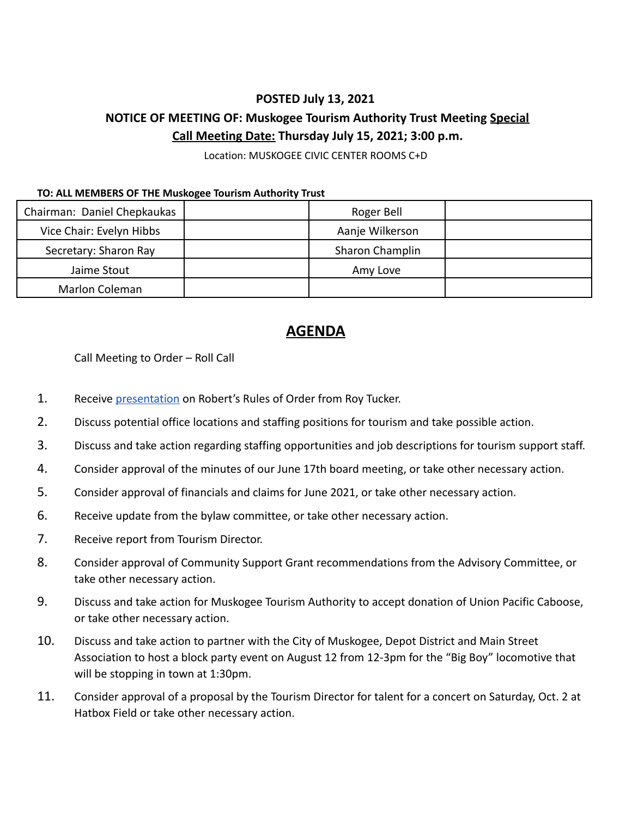## **POSTED July 13, 2021**

## **NOTICE OF MEETING OF: Muskogee Tourism Authority Trust Meeting Special Call Meeting Date: Thursday July 15, 2021; 3:00 p.m.**

Location: MUSKOGEE CIVIC CENTER ROOMS C+D

## **TO: ALL MEMBERS OF THE Muskogee Tourism Authority Trust**

| Chairman: Daniel Chepkaukas | Roger Bell      |  |
|-----------------------------|-----------------|--|
| Vice Chair: Evelyn Hibbs    | Aanje Wilkerson |  |
| Secretary: Sharon Ray       | Sharon Champlin |  |
| Jaime Stout                 | Amy Love        |  |
| Marlon Coleman              |                 |  |

## **AGENDA**

Call Meeting to Order – Roll Call

- 1. Receive [presentation](https://www.youtube.com/watch?v=b0qYTS3x5cg) on Robert's Rules of Order from Roy Tucker.
- 2. Discuss potential office locations and staffing positions for tourism and take possible action.
- 3. Discuss and take action regarding staffing opportunities and job descriptions for tourism support staff.
- 4. Consider approval of the minutes of our June 17th board meeting, or take other necessary action.
- 5. Consider approval of financials and claims for June 2021, or take other necessary action.
- 6. Receive update from the bylaw committee, or take other necessary action.
- 7. Receive report from Tourism Director.
- 8. Consider approval of Community Support Grant recommendations from the Advisory Committee, or take other necessary action.
- 9. Discuss and take action for Muskogee Tourism Authority to accept donation of Union Pacific Caboose, or take other necessary action.
- 10. Discuss and take action to partner with the City of Muskogee, Depot District and Main Street Association to host a block party event on August 12 from 12-3pm for the "Big Boy" locomotive that will be stopping in town at 1:30pm.
- 11. Consider approval of a proposal by the Tourism Director for talent for a concert on Saturday, Oct. 2 at Hatbox Field or take other necessary action.